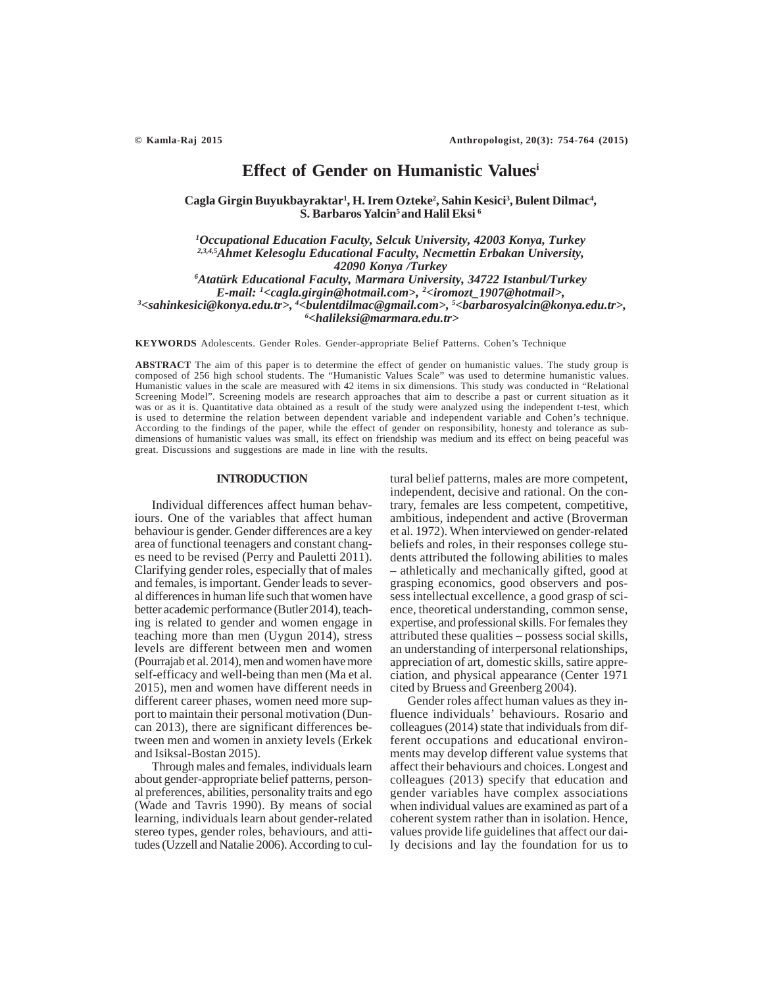# **Effect of Gender on Humanistic Valuesi**

Cagla Girgin Buyukbayraktar<sup>1</sup>, H. Irem Ozteke<sup>2</sup>, Sahin Kesici<sup>3</sup>, Bulent Dilmac<sup>4</sup>, **S. Barbaros Yalcin5 and Halil Eksi 6**

*1 Occupational Education Faculty, Selcuk University, 42003 Konya, Turkey 2,3,4,5Ahmet Kelesoglu Educational Faculty, Necmettin Erbakan University, 42090 Konya /Turkey 6 Atatürk Educational Faculty, Marmara University, 34722 Istanbul/Turkey*

*E-mail: 1 <cagla.girgin@hotmail.com>, 2 <iromozt\_1907@hotmail>, 3 <sahinkesici@konya.edu.tr>, 4 <bulentdilmac@gmail.com>, 5 <barbarosyalcin@konya.edu.tr>, 6 <halileksi@marmara.edu.tr>*

**KEYWORDS** Adolescents. Gender Roles. Gender-appropriate Belief Patterns. Cohen's Technique

**ABSTRACT** The aim of this paper is to determine the effect of gender on humanistic values. The study group is composed of 256 high school students. The "Humanistic Values Scale" was used to determine humanistic values. Humanistic values in the scale are measured with 42 items in six dimensions. This study was conducted in "Relational Screening Model". Screening models are research approaches that aim to describe a past or current situation as it was or as it is. Quantitative data obtained as a result of the study were analyzed using the independent t-test, which is used to determine the relation between dependent variable and independent variable and Cohen's technique. According to the findings of the paper, while the effect of gender on responsibility, honesty and tolerance as subdimensions of humanistic values was small, its effect on friendship was medium and its effect on being peaceful was great. Discussions and suggestions are made in line with the results.

## **INTRODUCTION**

Individual differences affect human behaviours. One of the variables that affect human behaviour is gender. Gender differences are a key area of functional teenagers and constant changes need to be revised (Perry and Pauletti 2011). Clarifying gender roles, especially that of males and females, is important. Gender leads to several differences in human life such that women have better academic performance (Butler 2014), teaching is related to gender and women engage in teaching more than men (Uygun 2014), stress levels are different between men and women (Pourrajab et al. 2014), men and women have more self-efficacy and well-being than men (Ma et al. 2015), men and women have different needs in different career phases, women need more support to maintain their personal motivation (Duncan 2013), there are significant differences between men and women in anxiety levels (Erkek and Isiksal-Bostan 2015).

Through males and females, individuals learn about gender-appropriate belief patterns, personal preferences, abilities, personality traits and ego (Wade and Tavris 1990). By means of social learning, individuals learn about gender-related stereo types, gender roles, behaviours, and attitudes (Uzzell and Natalie 2006). According to cultural belief patterns, males are more competent, independent, decisive and rational. On the contrary, females are less competent, competitive, ambitious, independent and active (Broverman et al. 1972). When interviewed on gender-related beliefs and roles, in their responses college students attributed the following abilities to males – athletically and mechanically gifted, good at grasping economics, good observers and possess intellectual excellence, a good grasp of science, theoretical understanding, common sense, expertise, and professional skills. For females they attributed these qualities – possess social skills, an understanding of interpersonal relationships, appreciation of art, domestic skills, satire appreciation, and physical appearance (Center 1971 cited by Bruess and Greenberg 2004).

Gender roles affect human values as they influence individuals' behaviours. Rosario and colleagues (2014) state that individuals from different occupations and educational environments may develop different value systems that affect their behaviours and choices. Longest and colleagues (2013) specify that education and gender variables have complex associations when individual values are examined as part of a coherent system rather than in isolation. Hence, values provide life guidelines that affect our daily decisions and lay the foundation for us to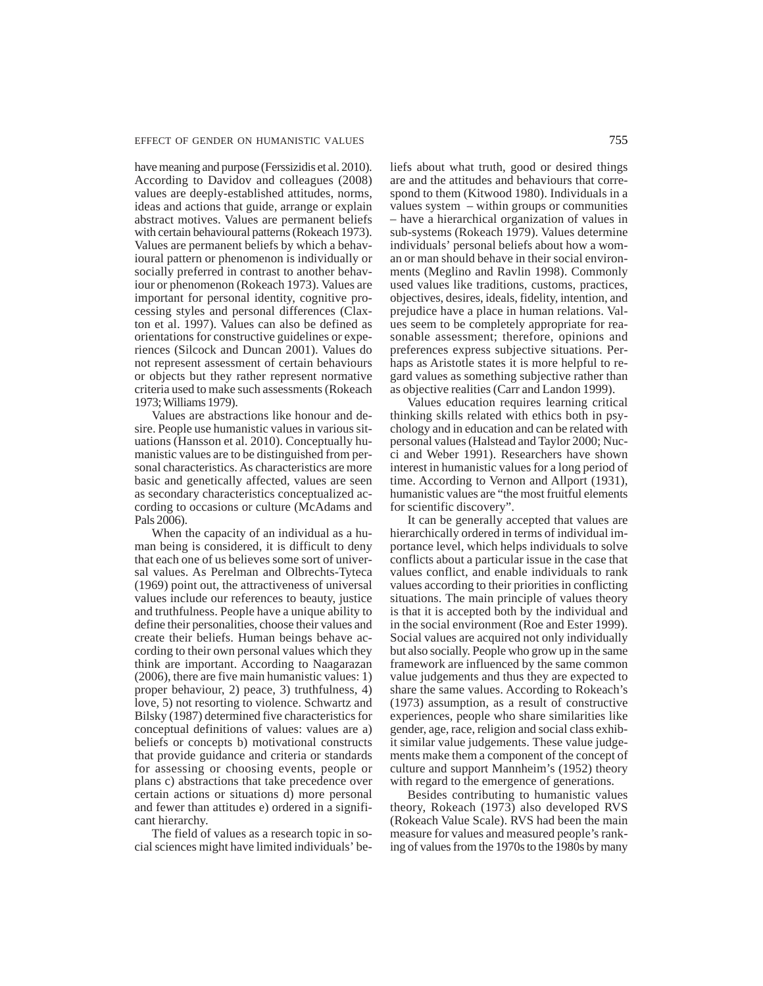have meaning and purpose (Ferssizidis et al. 2010). According to Davidov and colleagues (2008) values are deeply-established attitudes, norms, ideas and actions that guide, arrange or explain abstract motives. Values are permanent beliefs with certain behavioural patterns (Rokeach 1973). Values are permanent beliefs by which a behavioural pattern or phenomenon is individually or socially preferred in contrast to another behaviour or phenomenon (Rokeach 1973). Values are important for personal identity, cognitive processing styles and personal differences (Claxton et al. 1997). Values can also be defined as orientations for constructive guidelines or experiences (Silcock and Duncan 2001). Values do not represent assessment of certain behaviours or objects but they rather represent normative criteria used to make such assessments (Rokeach 1973; Williams 1979).

Values are abstractions like honour and desire. People use humanistic values in various situations (Hansson et al. 2010). Conceptually humanistic values are to be distinguished from personal characteristics. As characteristics are more basic and genetically affected, values are seen as secondary characteristics conceptualized according to occasions or culture (McAdams and Pals 2006).

When the capacity of an individual as a human being is considered, it is difficult to deny that each one of us believes some sort of universal values. As Perelman and Olbrechts-Tyteca (1969) point out, the attractiveness of universal values include our references to beauty, justice and truthfulness. People have a unique ability to define their personalities, choose their values and create their beliefs. Human beings behave according to their own personal values which they think are important. According to Naagarazan (2006), there are five main humanistic values: 1) proper behaviour, 2) peace, 3) truthfulness, 4) love, 5) not resorting to violence. Schwartz and Bilsky (1987) determined five characteristics for conceptual definitions of values: values are a) beliefs or concepts b) motivational constructs that provide guidance and criteria or standards for assessing or choosing events, people or plans c) abstractions that take precedence over certain actions or situations d) more personal and fewer than attitudes e) ordered in a significant hierarchy.

The field of values as a research topic in social sciences might have limited individuals' beliefs about what truth, good or desired things are and the attitudes and behaviours that correspond to them (Kitwood 1980). Individuals in a values system – within groups or communities – have a hierarchical organization of values in sub-systems (Rokeach 1979). Values determine individuals' personal beliefs about how a woman or man should behave in their social environments (Meglino and Ravlin 1998). Commonly used values like traditions, customs, practices, objectives, desires, ideals, fidelity, intention, and prejudice have a place in human relations. Values seem to be completely appropriate for reasonable assessment; therefore, opinions and preferences express subjective situations. Perhaps as Aristotle states it is more helpful to regard values as something subjective rather than as objective realities (Carr and Landon 1999).

Values education requires learning critical thinking skills related with ethics both in psychology and in education and can be related with personal values (Halstead and Taylor 2000; Nucci and Weber 1991). Researchers have shown interest in humanistic values for a long period of time. According to Vernon and Allport (1931), humanistic values are "the most fruitful elements for scientific discovery".

It can be generally accepted that values are hierarchically ordered in terms of individual importance level, which helps individuals to solve conflicts about a particular issue in the case that values conflict, and enable individuals to rank values according to their priorities in conflicting situations. The main principle of values theory is that it is accepted both by the individual and in the social environment (Roe and Ester 1999). Social values are acquired not only individually but also socially. People who grow up in the same framework are influenced by the same common value judgements and thus they are expected to share the same values. According to Rokeach's (1973) assumption, as a result of constructive experiences, people who share similarities like gender, age, race, religion and social class exhibit similar value judgements. These value judgements make them a component of the concept of culture and support Mannheim's (1952) theory with regard to the emergence of generations.

Besides contributing to humanistic values theory, Rokeach (1973) also developed RVS (Rokeach Value Scale). RVS had been the main measure for values and measured people's ranking of values from the 1970s to the 1980s by many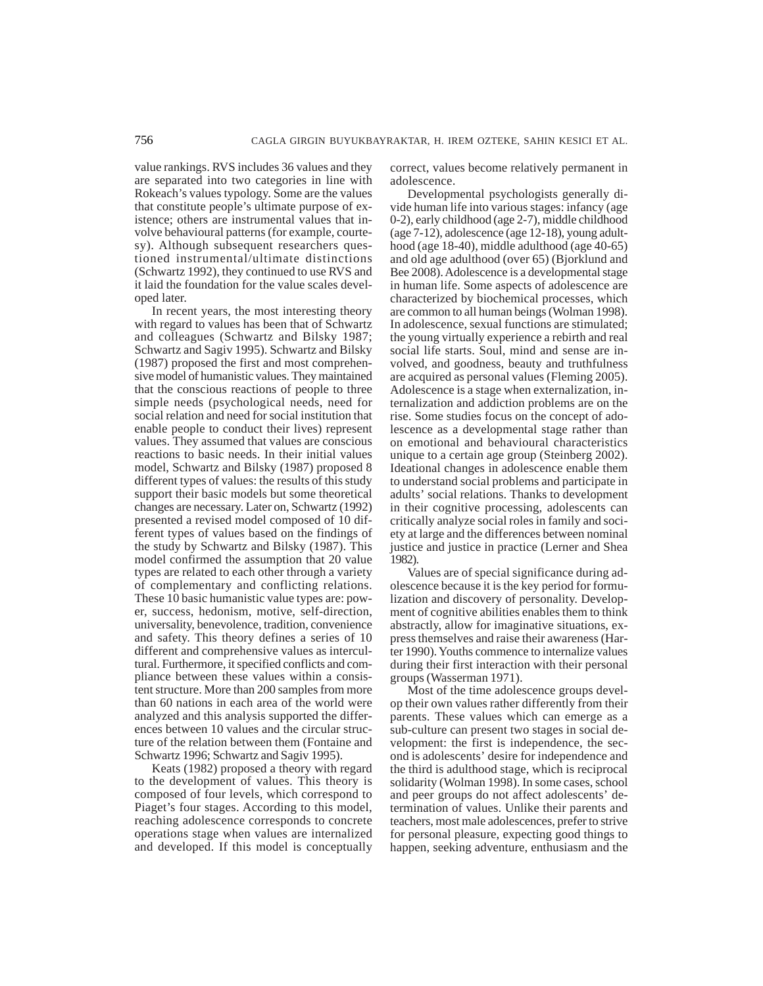value rankings. RVS includes 36 values and they are separated into two categories in line with Rokeach's values typology. Some are the values that constitute people's ultimate purpose of existence; others are instrumental values that involve behavioural patterns (for example, courtesy). Although subsequent researchers questioned instrumental/ultimate distinctions (Schwartz 1992), they continued to use RVS and it laid the foundation for the value scales developed later.

In recent years, the most interesting theory with regard to values has been that of Schwartz and colleagues (Schwartz and Bilsky 1987; Schwartz and Sagiv 1995). Schwartz and Bilsky (1987) proposed the first and most comprehensive model of humanistic values. They maintained that the conscious reactions of people to three simple needs (psychological needs, need for social relation and need for social institution that enable people to conduct their lives) represent values. They assumed that values are conscious reactions to basic needs. In their initial values model, Schwartz and Bilsky (1987) proposed 8 different types of values: the results of this study support their basic models but some theoretical changes are necessary. Later on, Schwartz (1992) presented a revised model composed of 10 different types of values based on the findings of the study by Schwartz and Bilsky (1987). This model confirmed the assumption that 20 value types are related to each other through a variety of complementary and conflicting relations. These 10 basic humanistic value types are: power, success, hedonism, motive, self-direction, universality, benevolence, tradition, convenience and safety. This theory defines a series of 10 different and comprehensive values as intercultural. Furthermore, it specified conflicts and compliance between these values within a consistent structure. More than 200 samples from more than 60 nations in each area of the world were analyzed and this analysis supported the differences between 10 values and the circular structure of the relation between them (Fontaine and Schwartz 1996; Schwartz and Sagiv 1995).

Keats (1982) proposed a theory with regard to the development of values. This theory is composed of four levels, which correspond to Piaget's four stages. According to this model, reaching adolescence corresponds to concrete operations stage when values are internalized and developed. If this model is conceptually correct, values become relatively permanent in adolescence.

Developmental psychologists generally divide human life into various stages: infancy (age 0-2), early childhood (age 2-7), middle childhood (age 7-12), adolescence (age 12-18), young adulthood (age 18-40), middle adulthood (age 40-65) and old age adulthood (over 65) (Bjorklund and Bee 2008). Adolescence is a developmental stage in human life. Some aspects of adolescence are characterized by biochemical processes, which are common to all human beings (Wolman 1998). In adolescence, sexual functions are stimulated; the young virtually experience a rebirth and real social life starts. Soul, mind and sense are involved, and goodness, beauty and truthfulness are acquired as personal values (Fleming 2005). Adolescence is a stage when externalization, internalization and addiction problems are on the rise. Some studies focus on the concept of adolescence as a developmental stage rather than on emotional and behavioural characteristics unique to a certain age group (Steinberg 2002). Ideational changes in adolescence enable them to understand social problems and participate in adults' social relations. Thanks to development in their cognitive processing, adolescents can critically analyze social roles in family and society at large and the differences between nominal justice and justice in practice (Lerner and Shea 1982).

Values are of special significance during adolescence because it is the key period for formulization and discovery of personality. Development of cognitive abilities enables them to think abstractly, allow for imaginative situations, express themselves and raise their awareness (Harter 1990). Youths commence to internalize values during their first interaction with their personal groups (Wasserman 1971).

Most of the time adolescence groups develop their own values rather differently from their parents. These values which can emerge as a sub-culture can present two stages in social development: the first is independence, the second is adolescents' desire for independence and the third is adulthood stage, which is reciprocal solidarity (Wolman 1998). In some cases, school and peer groups do not affect adolescents' determination of values. Unlike their parents and teachers, most male adolescences, prefer to strive for personal pleasure, expecting good things to happen, seeking adventure, enthusiasm and the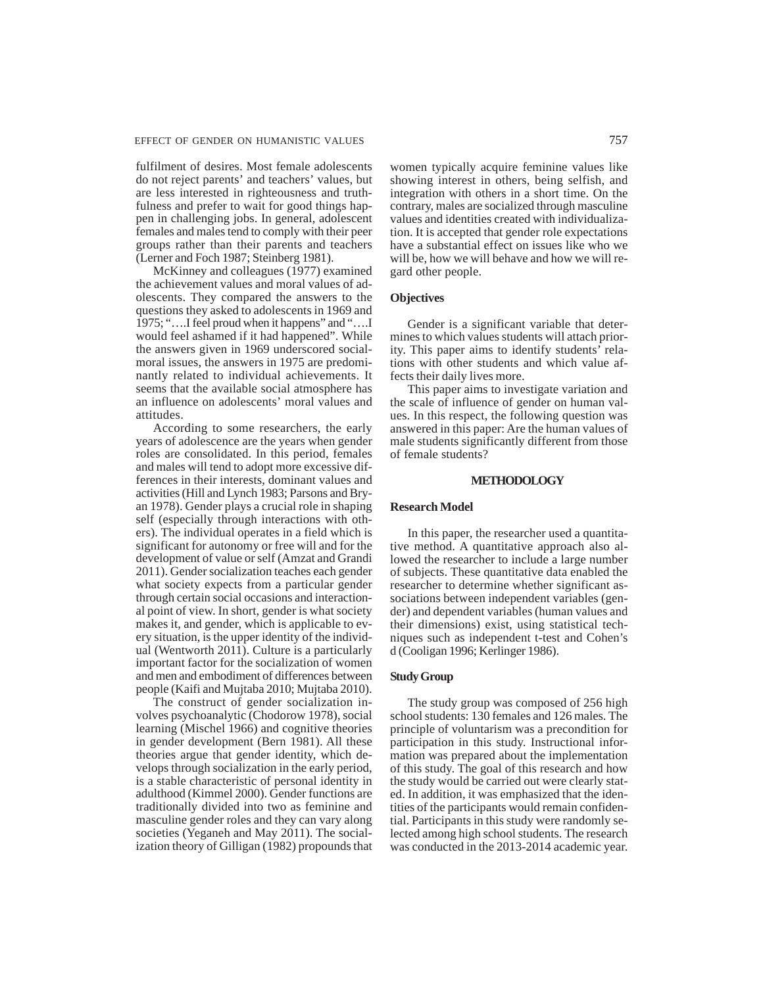fulfilment of desires. Most female adolescents do not reject parents' and teachers' values, but are less interested in righteousness and truthfulness and prefer to wait for good things happen in challenging jobs. In general, adolescent females and males tend to comply with their peer groups rather than their parents and teachers (Lerner and Foch 1987; Steinberg 1981).

McKinney and colleagues (1977) examined the achievement values and moral values of adolescents. They compared the answers to the questions they asked to adolescents in 1969 and 1975; "….I feel proud when it happens" and "….I would feel ashamed if it had happened". While the answers given in 1969 underscored socialmoral issues, the answers in 1975 are predominantly related to individual achievements. It seems that the available social atmosphere has an influence on adolescents' moral values and attitudes.

According to some researchers, the early years of adolescence are the years when gender roles are consolidated. In this period, females and males will tend to adopt more excessive differences in their interests, dominant values and activities (Hill and Lynch 1983; Parsons and Bryan 1978). Gender plays a crucial role in shaping self (especially through interactions with others). The individual operates in a field which is significant for autonomy or free will and for the development of value or self (Amzat and Grandi 2011). Gender socialization teaches each gender what society expects from a particular gender through certain social occasions and interactional point of view. In short, gender is what society makes it, and gender, which is applicable to every situation, is the upper identity of the individual (Wentworth 2011). Culture is a particularly important factor for the socialization of women and men and embodiment of differences between people (Kaifi and Mujtaba 2010; Mujtaba 2010).

The construct of gender socialization involves psychoanalytic (Chodorow 1978), social learning (Mischel 1966) and cognitive theories in gender development (Bern 1981). All these theories argue that gender identity, which develops through socialization in the early period, is a stable characteristic of personal identity in adulthood (Kimmel 2000). Gender functions are traditionally divided into two as feminine and masculine gender roles and they can vary along societies (Yeganeh and May 2011). The socialization theory of Gilligan (1982) propounds that

women typically acquire feminine values like showing interest in others, being selfish, and integration with others in a short time. On the contrary, males are socialized through masculine values and identities created with individualization. It is accepted that gender role expectations have a substantial effect on issues like who we will be, how we will behave and how we will regard other people.

# **Objectives**

Gender is a significant variable that determines to which values students will attach priority. This paper aims to identify students' relations with other students and which value affects their daily lives more.

This paper aims to investigate variation and the scale of influence of gender on human values. In this respect, the following question was answered in this paper: Are the human values of male students significantly different from those of female students?

#### **METHODOLOGY**

## **Research Model**

In this paper, the researcher used a quantitative method. A quantitative approach also allowed the researcher to include a large number of subjects. These quantitative data enabled the researcher to determine whether significant associations between independent variables (gender) and dependent variables (human values and their dimensions) exist, using statistical techniques such as independent t-test and Cohen's d (Cooligan 1996; Kerlinger 1986).

## **Study Group**

The study group was composed of 256 high school students: 130 females and 126 males. The principle of voluntarism was a precondition for participation in this study. Instructional information was prepared about the implementation of this study. The goal of this research and how the study would be carried out were clearly stated. In addition, it was emphasized that the identities of the participants would remain confidential. Participants in this study were randomly selected among high school students. The research was conducted in the 2013-2014 academic year.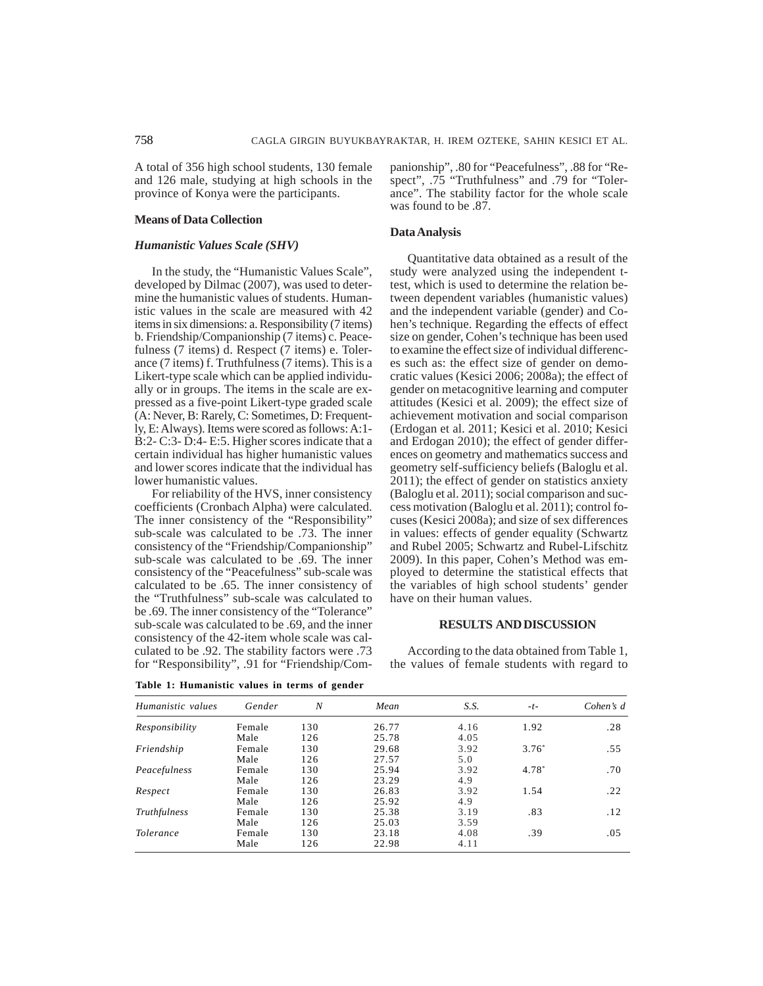A total of 356 high school students, 130 female and 126 male, studying at high schools in the province of Konya were the participants.

## **Means of Data Collection**

# *Humanistic Values Scale (SHV)*

In the study, the "Humanistic Values Scale", developed by Dilmac (2007), was used to determine the humanistic values of students. Humanistic values in the scale are measured with 42 items in six dimensions: a. Responsibility (7 items) b. Friendship/Companionship (7 items) c. Peacefulness (7 items) d. Respect (7 items) e. Tolerance (7 items) f. Truthfulness (7 items). This is a Likert-type scale which can be applied individually or in groups. The items in the scale are expressed as a five-point Likert-type graded scale (A: Never, B: Rarely, C: Sometimes, D: Frequently, E: Always). Items were scored as follows: A:1- B:2- C:3- D:4- E:5. Higher scores indicate that a certain individual has higher humanistic values and lower scores indicate that the individual has lower humanistic values.

For reliability of the HVS, inner consistency coefficients (Cronbach Alpha) were calculated. The inner consistency of the "Responsibility" sub-scale was calculated to be .73. The inner consistency of the "Friendship/Companionship" sub-scale was calculated to be .69. The inner consistency of the "Peacefulness" sub-scale was calculated to be .65. The inner consistency of the "Truthfulness" sub-scale was calculated to be .69. The inner consistency of the "Tolerance" sub-scale was calculated to be .69, and the inner consistency of the 42-item whole scale was calculated to be .92. The stability factors were .73 for "Responsibility", .91 for "Friendship/Companionship", .80 for "Peacefulness", .88 for "Respect", .75 "Truthfulness" and .79 for "Tolerance". The stability factor for the whole scale was found to be .87.

#### **Data Analysis**

Quantitative data obtained as a result of the study were analyzed using the independent ttest, which is used to determine the relation between dependent variables (humanistic values) and the independent variable (gender) and Cohen's technique. Regarding the effects of effect size on gender, Cohen's technique has been used to examine the effect size of individual differences such as: the effect size of gender on democratic values (Kesici 2006; 2008a); the effect of gender on metacognitive learning and computer attitudes (Kesici et al. 2009); the effect size of achievement motivation and social comparison (Erdogan et al. 2011; Kesici et al. 2010; Kesici and Erdogan 2010); the effect of gender differences on geometry and mathematics success and geometry self-sufficiency beliefs (Baloglu et al. 2011); the effect of gender on statistics anxiety (Baloglu et al. 2011); social comparison and success motivation (Baloglu et al. 2011); control focuses (Kesici 2008a); and size of sex differences in values: effects of gender equality (Schwartz and Rubel 2005; Schwartz and Rubel-Lifschitz 2009). In this paper, Cohen's Method was employed to determine the statistical effects that the variables of high school students' gender have on their human values.

#### **RESULTS AND DISCUSSION**

According to the data obtained from Table 1, the values of female students with regard to

| Humanistic values | Gender | N   | Mean  | S.S. | $-t-$    | Cohen's $d$ |
|-------------------|--------|-----|-------|------|----------|-------------|
| Responsibility    | Female | 130 | 26.77 | 4.16 | 1.92     | .28         |
|                   | Male   | 126 | 25.78 | 4.05 |          |             |
| Friendship        | Female | 130 | 29.68 | 3.92 | $3.76^*$ | .55         |
|                   | Male   | 126 | 27.57 | 5.0  |          |             |
| Peacefulness      | Female | 130 | 25.94 | 3.92 | 4.78*    | .70         |
|                   | Male   | 126 | 23.29 | 4.9  |          |             |
| Respect           | Female | 130 | 26.83 | 3.92 | 1.54     | .22         |
|                   | Male   | 126 | 25.92 | 4.9  |          |             |
| Truthfulness      | Female | 130 | 25.38 | 3.19 | .83      | .12         |
|                   | Male   | 126 | 25.03 | 3.59 |          |             |
| <i>Tolerance</i>  | Female | 130 | 23.18 | 4.08 | .39      | .05         |
|                   | Male   | 126 | 22.98 | 4.11 |          |             |

**Table 1: Humanistic values in terms of gender**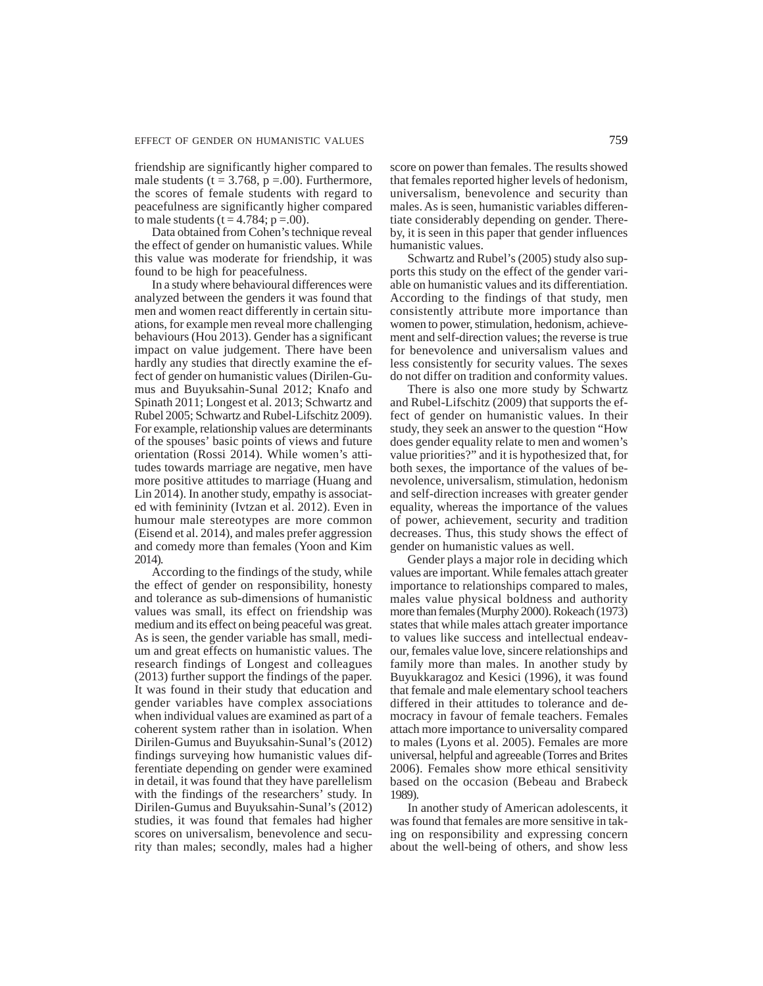friendship are significantly higher compared to male students ( $t = 3.768$ ,  $p = .00$ ). Furthermore, the scores of female students with regard to peacefulness are significantly higher compared to male students  $(t = 4.784; p = .00)$ .

Data obtained from Cohen's technique reveal the effect of gender on humanistic values. While this value was moderate for friendship, it was found to be high for peacefulness.

In a study where behavioural differences were analyzed between the genders it was found that men and women react differently in certain situations, for example men reveal more challenging behaviours (Hou 2013). Gender has a significant impact on value judgement. There have been hardly any studies that directly examine the effect of gender on humanistic values (Dirilen-Gumus and Buyuksahin-Sunal 2012; Knafo and Spinath 2011; Longest et al. 2013; Schwartz and Rubel 2005; Schwartz and Rubel-Lifschitz 2009). For example, relationship values are determinants of the spouses' basic points of views and future orientation (Rossi 2014). While women's attitudes towards marriage are negative, men have more positive attitudes to marriage (Huang and Lin 2014). In another study, empathy is associated with femininity (Ivtzan et al. 2012). Even in humour male stereotypes are more common (Eisend et al. 2014), and males prefer aggression and comedy more than females (Yoon and Kim 2014).

According to the findings of the study, while the effect of gender on responsibility, honesty and tolerance as sub-dimensions of humanistic values was small, its effect on friendship was medium and its effect on being peaceful was great. As is seen, the gender variable has small, medium and great effects on humanistic values. The research findings of Longest and colleagues (2013) further support the findings of the paper. It was found in their study that education and gender variables have complex associations when individual values are examined as part of a coherent system rather than in isolation. When Dirilen-Gumus and Buyuksahin-Sunal's (2012) findings surveying how humanistic values differentiate depending on gender were examined in detail, it was found that they have parellelism with the findings of the researchers' study. In Dirilen-Gumus and Buyuksahin-Sunal's (2012) studies, it was found that females had higher scores on universalism, benevolence and security than males; secondly, males had a higher

score on power than females. The results showed that females reported higher levels of hedonism, universalism, benevolence and security than males. As is seen, humanistic variables differentiate considerably depending on gender. Thereby, it is seen in this paper that gender influences humanistic values.

Schwartz and Rubel's (2005) study also supports this study on the effect of the gender variable on humanistic values and its differentiation. According to the findings of that study, men consistently attribute more importance than women to power, stimulation, hedonism, achievement and self-direction values; the reverse is true for benevolence and universalism values and less consistently for security values. The sexes do not differ on tradition and conformity values.

There is also one more study by Schwartz and Rubel-Lifschitz (2009) that supports the effect of gender on humanistic values. In their study, they seek an answer to the question "How does gender equality relate to men and women's value priorities?" and it is hypothesized that, for both sexes, the importance of the values of benevolence, universalism, stimulation, hedonism and self-direction increases with greater gender equality, whereas the importance of the values of power, achievement, security and tradition decreases. Thus, this study shows the effect of gender on humanistic values as well.

Gender plays a major role in deciding which values are important. While females attach greater importance to relationships compared to males, males value physical boldness and authority more than females (Murphy 2000). Rokeach (1973) states that while males attach greater importance to values like success and intellectual endeavour, females value love, sincere relationships and family more than males. In another study by Buyukkaragoz and Kesici (1996), it was found that female and male elementary school teachers differed in their attitudes to tolerance and democracy in favour of female teachers. Females attach more importance to universality compared to males (Lyons et al. 2005). Females are more universal, helpful and agreeable (Torres and Brites 2006). Females show more ethical sensitivity based on the occasion (Bebeau and Brabeck 1989).

In another study of American adolescents, it was found that females are more sensitive in taking on responsibility and expressing concern about the well-being of others, and show less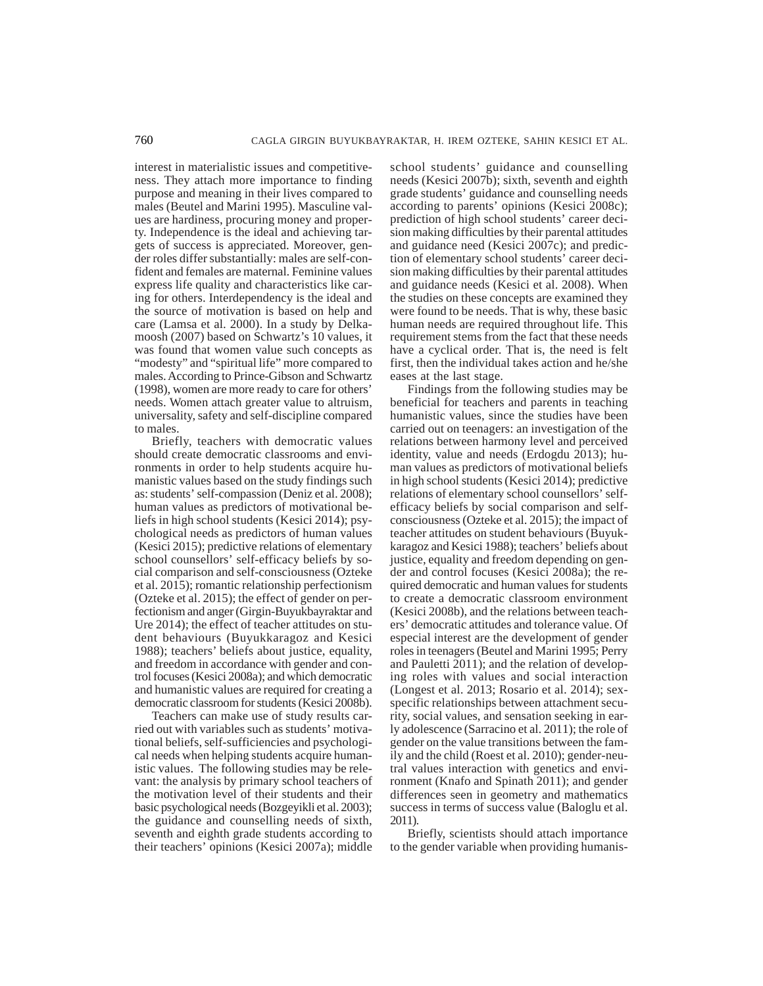interest in materialistic issues and competitiveness. They attach more importance to finding purpose and meaning in their lives compared to males (Beutel and Marini 1995). Masculine values are hardiness, procuring money and property. Independence is the ideal and achieving targets of success is appreciated. Moreover, gender roles differ substantially: males are self-confident and females are maternal. Feminine values express life quality and characteristics like caring for others. Interdependency is the ideal and the source of motivation is based on help and care (Lamsa et al. 2000). In a study by Delkamoosh (2007) based on Schwartz's 10 values, it was found that women value such concepts as "modesty" and "spiritual life" more compared to males. According to Prince-Gibson and Schwartz (1998), women are more ready to care for others' needs. Women attach greater value to altruism, universality, safety and self-discipline compared to males.

Briefly, teachers with democratic values should create democratic classrooms and environments in order to help students acquire humanistic values based on the study findings such as: students' self-compassion (Deniz et al. 2008); human values as predictors of motivational beliefs in high school students (Kesici 2014); psychological needs as predictors of human values (Kesici 2015); predictive relations of elementary school counsellors' self-efficacy beliefs by social comparison and self-consciousness (Ozteke et al. 2015); romantic relationship perfectionism (Ozteke et al. 2015); the effect of gender on perfectionism and anger (Girgin-Buyukbayraktar and Ure 2014); the effect of teacher attitudes on student behaviours (Buyukkaragoz and Kesici 1988); teachers' beliefs about justice, equality, and freedom in accordance with gender and control focuses (Kesici 2008a); and which democratic and humanistic values are required for creating a democratic classroom for students (Kesici 2008b).

Teachers can make use of study results carried out with variables such as students' motivational beliefs, self-sufficiencies and psychological needs when helping students acquire humanistic values. The following studies may be relevant: the analysis by primary school teachers of the motivation level of their students and their basic psychological needs (Bozgeyikli et al. 2003); the guidance and counselling needs of sixth, seventh and eighth grade students according to their teachers' opinions (Kesici 2007a); middle school students' guidance and counselling needs (Kesici 2007b); sixth, seventh and eighth grade students' guidance and counselling needs according to parents' opinions (Kesici 2008c); prediction of high school students' career decision making difficulties by their parental attitudes and guidance need (Kesici 2007c); and prediction of elementary school students' career decision making difficulties by their parental attitudes and guidance needs (Kesici et al. 2008). When the studies on these concepts are examined they were found to be needs. That is why, these basic human needs are required throughout life. This requirement stems from the fact that these needs have a cyclical order. That is, the need is felt first, then the individual takes action and he/she eases at the last stage.

Findings from the following studies may be beneficial for teachers and parents in teaching humanistic values, since the studies have been carried out on teenagers: an investigation of the relations between harmony level and perceived identity, value and needs (Erdogdu 2013); human values as predictors of motivational beliefs in high school students (Kesici 2014); predictive relations of elementary school counsellors' selfefficacy beliefs by social comparison and selfconsciousness (Ozteke et al. 2015); the impact of teacher attitudes on student behaviours (Buyukkaragoz and Kesici 1988); teachers' beliefs about justice, equality and freedom depending on gender and control focuses (Kesici 2008a); the required democratic and human values for students to create a democratic classroom environment (Kesici 2008b), and the relations between teachers' democratic attitudes and tolerance value. Of especial interest are the development of gender roles in teenagers (Beutel and Marini 1995; Perry and Pauletti 2011); and the relation of developing roles with values and social interaction (Longest et al. 2013; Rosario et al. 2014); sexspecific relationships between attachment security, social values, and sensation seeking in early adolescence (Sarracino et al. 2011); the role of gender on the value transitions between the family and the child (Roest et al. 2010); gender-neutral values interaction with genetics and environment (Knafo and Spinath 2011); and gender differences seen in geometry and mathematics success in terms of success value (Baloglu et al. 2011).

Briefly, scientists should attach importance to the gender variable when providing humanis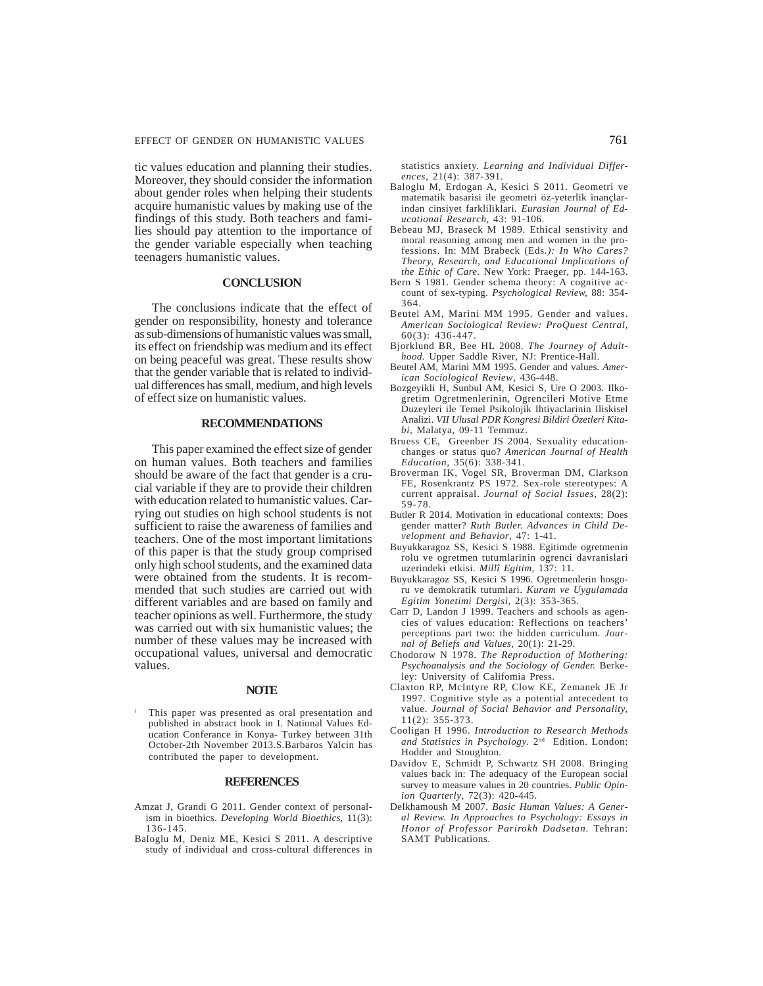tic values education and planning their studies. Moreover, they should consider the information about gender roles when helping their students acquire humanistic values by making use of the findings of this study. Both teachers and families should pay attention to the importance of the gender variable especially when teaching teenagers humanistic values.

## **CONCLUSION**

The conclusions indicate that the effect of gender on responsibility, honesty and tolerance as sub-dimensions of humanistic values was small, its effect on friendship was medium and its effect on being peaceful was great. These results show that the gender variable that is related to individual differences has small, medium, and high levels of effect size on humanistic values.

## **RECOMMENDATIONS**

This paper examined the effect size of gender on human values. Both teachers and families should be aware of the fact that gender is a crucial variable if they are to provide their children with education related to humanistic values. Carrying out studies on high school students is not sufficient to raise the awareness of families and teachers. One of the most important limitations of this paper is that the study group comprised only high school students, and the examined data were obtained from the students. It is recommended that such studies are carried out with different variables and are based on family and teacher opinions as well. Furthermore, the study was carried out with six humanistic values; the number of these values may be increased with occupational values, universal and democratic values.

#### **NOTE**

<sup>i</sup> This paper was presented as oral presentation and published in abstract book in I. National Values Education Conferance in Konya- Turkey between 31th October-2th November 2013.S.Barbaros Yalcin has contributed the paper to development.

#### **REFERENCES**

- Amzat J, Grandi G 2011. Gender context of personalism in bioethics. *Developing World Bioethics,* 11(3): 136-145.
- Baloglu M, Deniz ME, Kesici S 2011. A descriptive study of individual and cross-cultural differences in

statistics anxiety. *Learning and Individual Differences*, 21(4): 387-391.

- Baloglu M, Erdogan A, Kesici S 2011. Geometri ve matematik basarisi ile geometri öz-yeterlik inançlarindan cinsiyet farkliliklari. *Eurasian Journal of Educational Research*, 43: 91-106.
- Bebeau MJ, Braseck M 1989. Ethical senstivity and moral reasoning among men and women in the professions. In: MM Brabeck (Eds*.): In Who Cares? Theory, Research, and Educational Implications of the Ethic of Care.* New York: Praeger, pp. 144-163.
- Bern S 1981. Gender schema theory: A cognitive account of sex-typing. *Psychological Review,* 88: 354- 364.
- Beutel AM, Marini MM 1995. Gender and values. *American Sociological Review: ProQuest Central,* 60(3): 436-447.
- Bjorklund BR, Bee HL 2008. *The Journey of Adulthood.* Upper Saddle River, NJ: Prentice-Hall.
- Beutel AM, Marini MM 1995. Gender and values. *American Sociological Review*, 436-448.
- Bozgeyikli H, Sunbul AM, Kesici S, Ure O 2003. Ilkogretim Ogretmenlerinin, Ogrencileri Motive Etme Duzeyleri ile Temel Psikolojik Ihtiyaclarinin Iliskisel Analizi. *VII Ulusal PDR Kongresi Bildiri Özetleri Kitabi,* Malatya, 09-11 Temmuz.
- Bruess CE, Greenber JS 2004. Sexuality educationchanges or status quo? *American Journal of Health Education,* 35(6): 338-341.
- Broverman IK, Vogel SR, Broverman DM, Clarkson FE, Rosenkrantz PS 1972. Sex-role stereotypes: A current appraisal. *Journal of Social Issues,* 28(2): 59-78.
- Butler R 2014. Motivation in educational contexts: Does gender matter? *Ruth Butler. Advances in Child Development and Behavior*, 47: 1-41.
- Buyukkaragoz SS, Kesici S 1988. Egitimde ogretmenin rolu ve ogretmen tutumlarinin ogrenci davranislari uzerindeki etkisi. *Millî Egitim*, 137: 11.
- Buyukkaragoz SS, Kesici S 1996. Ogretmenlerin hosgoru ve demokratik tutumlari. *Kuram ve Uygulamada Egitim Yonetimi Dergisi*, 2(3): 353-365.
- Carr D, Landon J 1999. Teachers and schools as agencies of values education: Reflections on teachers' perceptions part two: the hidden curriculum. *Journal of Beliefs and Values,* 20(1): 21-29.
- Chodorow N 1978. *The Reproduction of Mothering: Psychoanalysis and the Sociology of Gender.* Berkeley: University of Califomia Press.
- Claxton RP, McIntyre RP, Clow KE, Zemanek JE Jr 1997. Cognitive style as a potential antecedent to value. *Journal of Social Behavior and Personality*, 11(2): 355-373.
- Cooligan H 1996. *Introduction to Research Methods* and Statistics in Psychology. 2<sup>nd</sup> Edition. London: Hodder and Stoughton.
- Davidov E, Schmidt P, Schwartz SH 2008. Bringing values back in: The adequacy of the European social survey to measure values in 20 countries. *Public Opinion Quarterly*, 72(3): 420-445.
- Delkhamoush M 2007. *Basic Human Values: A General Review. In Approaches to Psychology: Essays in Honor of Professor Parirokh Dadsetan.* Tehran: SAMT Publications.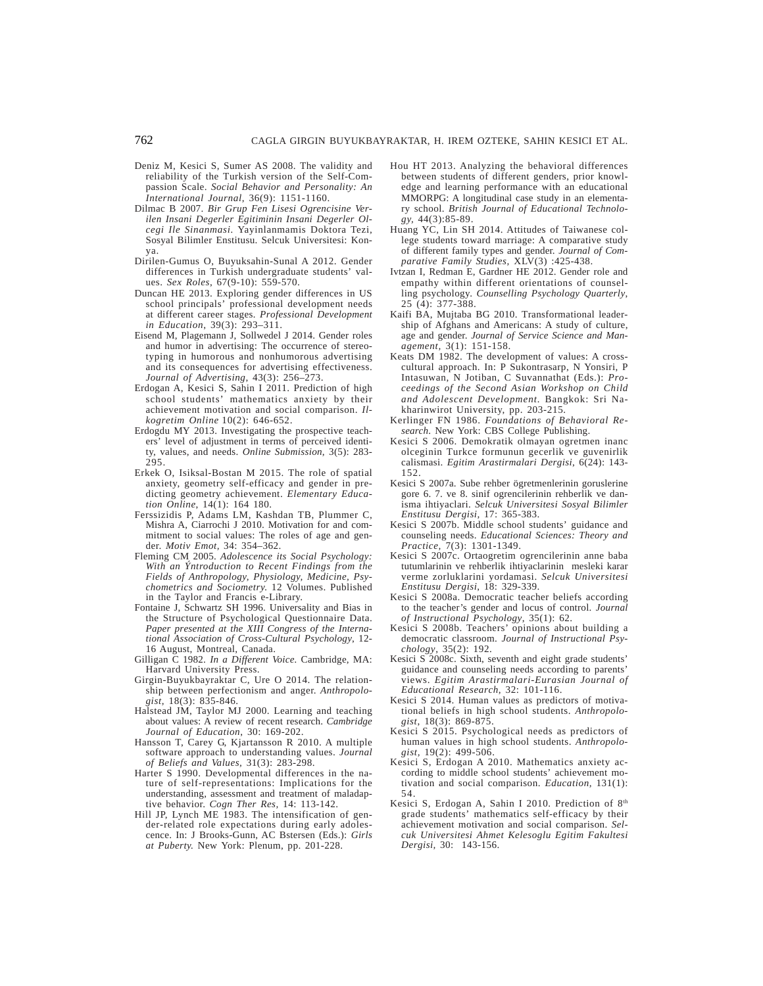- Deniz M, Kesici S, Sumer AS 2008. The validity and reliability of the Turkish version of the Self-Compassion Scale. *Social Behavior and Personality: An International Journal*, 36(9): 1151-1160.
- Dilmac B 2007. *Bir Grup Fen Lisesi Ogrencisine Verilen Insani Degerler Egitiminin Insani Degerler Olcegi Ile Sinanmasi.* Yayinlanmamis Doktora Tezi, Sosyal Bilimler Enstitusu. Selcuk Universitesi: Konya.
- Dirilen-Gumus O, Buyuksahin-Sunal A 2012. Gender differences in Turkish undergraduate students' values. *Sex Roles*, 67(9-10): 559-570.
- Duncan HE 2013. Exploring gender differences in US school principals' professional development needs at different career stages*. Professional Development in Education*, 39(3): 293–311.
- Eisend M, Plagemann J, Sollwedel J 2014. Gender roles and humor in advertising: The occurrence of stereotyping in humorous and nonhumorous advertising and its consequences for advertising effectiveness. *Journal of Advertising*, 43(3): 256–273.
- Erdogan A, Kesici S, Sahin I 2011. Prediction of high school students' mathematics anxiety by their achievement motivation and social comparison. *Ilkogretim Online* 10(2): 646-652.
- Erdogdu MY 2013. Investigating the prospective teachers' level of adjustment in terms of perceived identity, values, and needs. *Online Submission*, 3(5): 283- 295.
- Erkek O, Isiksal-Bostan M 2015. The role of spatial anxiety, geometry self-efficacy and gender in predicting geometry achievement. *Elementary Education Online*, 14(1): 164 180.
- Ferssizidis P, Adams LM, Kashdan TB, Plummer C, Mishra A, Ciarrochi J 2010. Motivation for and commitment to social values: The roles of age and gender. *Motiv Emot,* 34: 354–362.
- Fleming CM 2005. *Adolescence its Social Psychology: With an Ýntroduction to Recent Findings from the Fields of Anthropology, Physiology, Medicine, Psychometrics and Sociometry.* 12 Volumes. Published in the Taylor and Francis e-Library.
- Fontaine J, Schwartz SH 1996. Universality and Bias in the Structure of Psychological Questionnaire Data. *Paper presented at the XIII Congress of the International Association of Cross-Cultural Psychology*, 12- 16 August, Montreal, Canada.
- Gilligan C 1982. *In a Different Voice.* Cambridge, MA: Harvard University Press.
- Girgin-Buyukbayraktar C, Ure O 2014. The relationship between perfectionism and anger. *Anthropologist*, 18(3): 835-846.
- Halstead JM, Taylor MJ 2000. Learning and teaching about values: A review of recent research. *Cambridge Journal of Education*, 30: 169-202.
- Hansson T, Carey G, Kjartansson R 2010. A multiple software approach to understanding values. *Journal of Beliefs and Values,* 31(3): 283-298.
- Harter S 1990. Developmental differences in the nature of self-representations: Implications for the understanding, assessment and treatment of maladaptive behavior. *Cogn Ther Res,* 14: 113-142.
- Hill JP, Lynch ME 1983. The intensification of gender-related role expectations during early adolescence. In: J Brooks-Gunn, AC Bstersen (Eds.): *Girls at Puberty.* New York: Plenum, pp. 201-228.
- Hou HT 2013. Analyzing the behavioral differences between students of different genders, prior knowledge and learning performance with an educational MMORPG: A longitudinal case study in an elementary school. *British Journal of Educational Technology,* 44(3):85-89.
- Huang YC, Lin SH 2014. Attitudes of Taiwanese college students toward marriage: A comparative study of different family types and gender. *Journal of Comparative Family Studies,* XLV(3) :425-438.
- Ivtzan I, Redman E, Gardner HE 2012. Gender role and empathy within different orientations of counselling psychology. *Counselling Psychology Quarterly*, 25 (4): 377-388.
- Kaifi BA, Mujtaba BG 2010. Transformational leadership of Afghans and Americans: A study of culture, age and gender. *Journal of Service Science and Management,* 3(1): 151-158.
- Keats DM 1982. The development of values: A crosscultural approach. In: P Sukontrasarp, N Yonsiri, P Intasuwan, N Jotiban, C Suvannathat (Eds.): *Proceedings of the Second Asian Workshop on Child and Adolescent Development.* Bangkok: Sri Nakharinwirot University, pp. 203-215.
- Kerlinger FN 1986. *Foundations of Behavioral Research*. New York: CBS College Publishing.
- Kesici S 2006. Demokratik olmayan ogretmen inanc olceginin Turkce formunun gecerlik ve guvenirlik calismasi. *Egitim Arastirmalari Dergisi*, 6(24): 143- 152.
- Kesici S 2007a. Sube rehber ögretmenlerinin goruslerine gore 6. 7. ve 8. sinif ogrencilerinin rehberlik ve danisma ihtiyaclari. *Selcuk Universitesi Sosyal Bilimler Enstitusu Dergisi,* 17: 365-383.
- Kesici S 2007b. Middle school students' guidance and counseling needs. *Educational Sciences: Theory and Practice,* 7(3): 1301-1349.
- Kesici S 2007c. Ortaogretim ogrencilerinin anne baba tutumlarinin ve rehberlik ihtiyaclarinin mesleki karar verme zorluklarini yordamasi. *Selcuk Universitesi Enstitusu Dergisi*, 18: 329-339.
- Kesici S 2008a. Democratic teacher beliefs according to the teacher's gender and locus of control. *Journal of Instructional Psychology*, 35(1): 62.
- Kesici S 2008b. Teachers' opinions about building a democratic classroom. *Journal of Instructional Psychology*, 35(2): 192.
- Kesici S 2008c. Sixth, seventh and eight grade students' guidance and counseling needs according to parents' views. *Egitim Arastirmalari-Eurasian Journal of Educational Research*, 32: 101-116.
- Kesici S 2014. Human values as predictors of motivational beliefs in high school students. *Anthropologist*, 18(3): 869-875.
- Kesici S 2015. Psychological needs as predictors of human values in high school students. *Anthropologist,* 19(2): 499-506.
- Kesici S, Erdogan A 2010. Mathematics anxiety according to middle school students' achievement motivation and social comparison. *Education,* 131(1): 54.
- Kesici S, Erdogan A, Sahin I 2010. Prediction of 8th grade students' mathematics self-efficacy by their achievement motivation and social comparison. *Selcuk Universitesi Ahmet Kelesoglu Egitim Fakultesi Dergisi,* 30: 143-156.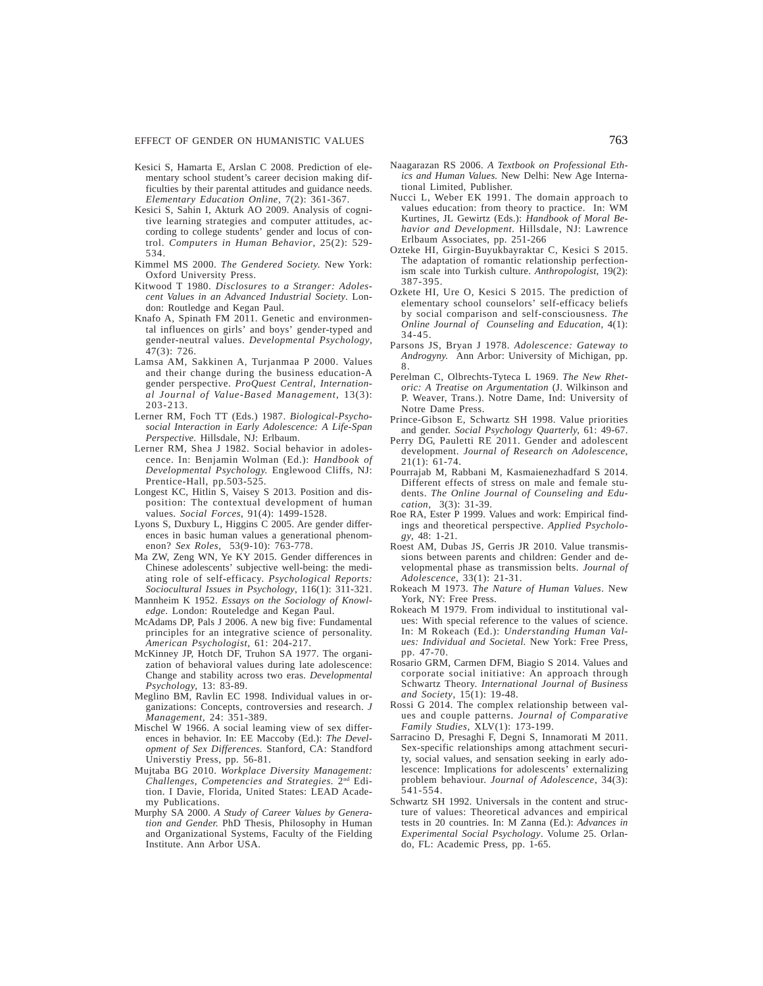#### EFFECT OF GENDER ON HUMANISTIC VALUES 763

- Kesici S, Hamarta E, Arslan C 2008. Prediction of elementary school student's career decision making difficulties by their parental attitudes and guidance needs. *Elementary Education Online,* 7(2): 361-367.
- Kesici S, Sahin I, Akturk AO 2009. Analysis of cognitive learning strategies and computer attitudes, according to college students' gender and locus of control. *Computers in Human Behavior*, 25(2): 529- 534.
- Kimmel MS 2000. *The Gendered Society.* New York: Oxford University Press.
- Kitwood T 1980. *Disclosures to a Stranger: Adolescent Values in an Advanced Industrial Society*. London: Routledge and Kegan Paul.
- Knafo A, Spinath FM 2011. Genetic and environmental influences on girls' and boys' gender-typed and gender-neutral values. *Developmental Psychology*, 47(3): 726.
- Lamsa AM, Sakkinen A, Turjanmaa P 2000. Values and their change during the business education-A gender perspective. *ProQuest Central, International Journal of Value-Based Management,* 13(3): 203-213.
- Lerner RM, Foch TT (Eds.) 1987. *Biological-Psychosocial Interaction in Early Adolescence: A Life-Span Perspective.* Hillsdale, NJ: Erlbaum.
- Lerner RM, Shea J 1982. Social behavior in adolescence. In: Benjamin Wolman (Ed.): *Handbook of Developmental Psychology.* Englewood Cliffs, NJ: Prentice-Hall, pp.503-525.
- Longest KC, Hitlin S, Vaisey S 2013. Position and disposition: The contextual development of human values. *Social Forces*, 91(4): 1499-1528.
- Lyons S, Duxbury L, Higgins C 2005. Are gender differences in basic human values a generational phenomenon? *Sex Roles,* 53(9-10): 763-778.
- Ma ZW, Zeng WN, Ye KY 2015. Gender differences in Chinese adolescents' subjective well-being: the mediating role of self-efficacy. *Psychological Reports: Sociocultural Issues in Psychology*, 116(1): 311-321.
- Mannheim K 1952. *Essays on the Sociology of Knowledge.* London: Routeledge and Kegan Paul.
- McAdams DP, Pals J 2006. A new big five: Fundamental principles for an integrative science of personality. *American Psychologist,* 61: 204-217.
- McKinney JP, Hotch DF, Truhon SA 1977. The organization of behavioral values during late adolescence: Change and stability across two eras. *Developmental Psychology,* 13: 83-89.
- Meglino BM, Ravlin EC 1998. Individual values in organizations: Concepts, controversies and research. *J Management,* 24: 351-389.
- Mischel W 1966. A social leaming view of sex differences in behavior. In: EE Maccoby (Ed.): *The Development of Sex Differences.* Stanford, CA: Standford Universtiy Press, pp. 56-81.
- Mujtaba BG 2010. *Workplace Diversity Management: Challenges, Competencies and Strategies.* 2nd Edition. I Davie, Florida, United States: LEAD Academy Publications.
- Murphy SA 2000. *A Study of Career Values by Generation and Gender.* PhD Thesis, Philosophy in Human and Organizational Systems, Faculty of the Fielding Institute. Ann Arbor USA.
- Naagarazan RS 2006. *A Textbook on Professional Ethics and Human Values.* New Delhi: New Age International Limited, Publisher.
- Nucci L, Weber EK 1991. The domain approach to values education: from theory to practice. In: WM Kurtines, JL Gewirtz (Eds.): *Handbook of Moral Behavior and Development.* Hillsdale, NJ: Lawrence Erlbaum Associates, pp. 251-266
- Ozteke HI, Girgin-Buyukbayraktar C, Kesici S 2015. The adaptation of romantic relationship perfectionism scale into Turkish culture. *Anthropologist,* 19(2): 387-395.
- Ozkete HI, Ure O, Kesici S 2015. The prediction of elementary school counselors' self-efficacy beliefs by social comparison and self-consciousness. *The Online Journal of Counseling and Education*, 4(1): 34-45.
- Parsons JS, Bryan J 1978. *Adolescence: Gateway to Androgyny.* Ann Arbor: University of Michigan, pp. 8.
- Perelman C, Olbrechts-Tyteca L 1969. *The New Rhetoric: A Treatise on Argumentation* (J. Wilkinson and P. Weaver, Trans.). Notre Dame, Ind: University of Notre Dame Press.
- Prince-Gibson E, Schwartz SH 1998. Value priorities and gender. *Social Psychology Quarterly,* 61: 49-67.
- Perry DG, Pauletti RE 2011. Gender and adolescent development. *Journal of Research on Adolescence*, 21(1): 61-74.
- Pourrajab M, Rabbani M, Kasmaienezhadfard S 2014. Different effects of stress on male and female students. *The Online Journal of Counseling and Education,* 3(3): 31-39.
- Roe RA, Ester P 1999. Values and work: Empirical findings and theoretical perspective. *Applied Psychology*, 48: 1-21.
- Roest AM, Dubas JS, Gerris JR 2010. Value transmissions between parents and children: Gender and developmental phase as transmission belts. *Journal of Adolescence*, 33(1): 21-31.
- Rokeach M 1973. *The Nature of Human Values*. New York, NY: Free Press.
- Rokeach M 1979. From individual to institutional values: With special reference to the values of science. In: M Rokeach (Ed.): *Understanding Human Values: Individual and Societal.* New York: Free Press, pp. 47-70.
- Rosario GRM, Carmen DFM, Biagio S 2014. Values and corporate social initiative: An approach through Schwartz Theory. *International Journal of Business and Society*, 15(1): 19-48.
- Rossi G 2014. The complex relationship between values and couple patterns. *Journal of Comparative Family Studies,* XLV(1): 173-199.
- Sarracino D, Presaghi F, Degni S, Innamorati M 2011. Sex-specific relationships among attachment security, social values, and sensation seeking in early adolescence: Implications for adolescents' externalizing problem behaviour. *Journal of Adolescence*, 34(3): 541-554.
- Schwartz SH 1992. Universals in the content and structure of values: Theoretical advances and empirical tests in 20 countries. In: M Zanna (Ed.): *Advances in Experimental Social Psychology*. Volume 25. Orlando, FL: Academic Press, pp. 1-65.